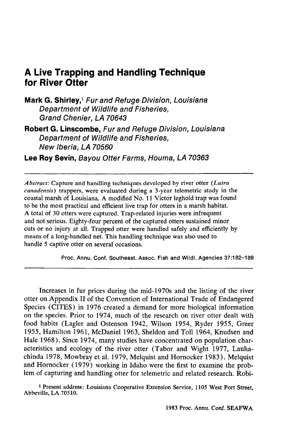# **A Live Trapping and Handling Technique for River Otter**

**Mark G. Shirley,! Fur and Refuge Division, Louisiana Department of Wildlife and Fisheries, Grand Chenier, LA 70643**

**Robert G. Linscombe, Fur and Refuge Division, Louisiana Department of Wildlife and Fisheries, New Iberia, LA 70560**

**Lee Roy Sevin, Bayou Otter Farms, Houma, LA 70363**

*Abstract:* Capture and handling techniques developed by river otter *(Lutra canadensis)* trappers, were evaluated during a 3-year telemetric study in the coastal marsh of Louisiana. A modified No. 11 Victor leghold trap was found to be the most practical and efficient live trap for otters in a marsh habitat. A total of 30 otters were captured. Trap-related injuries were infrequent and not serious. Eighty-four percent of the captured otters sustained minor cuts or no injury at all. Trapped otter were handled safely and efficiently by means of a long-handled net. This handling technique was also used to handle 5 captive otter on several occasions.

Proc. Annu. Conf. Southeast. Assoc. Fish and Wildl. Agencies 37:182-189

Increases in fur prices during the mid-1970s and the listing of the river otter on Appendix II of the Convention of International Trade of Endangered Species (CITES) in 1976 created a demand for more biological information on the species. Prior to 1974, much of the research on river otter dealt with food habits (Lagler and Ostenson 1942, Wilson 1954, Ryder 1955, Greer 1955, Hamilton 1961, McDaniel 1963, Sheldon and Toll 1964, Knudsen and Hale 1968). Since 1974, many studies have concentrated on population characteristics and ecology of the river otter (Tabor and Wight 1977, Lauhachinda 1978, Mowbray et al. 1979, Melquist and Hornocker 1983). Melquist and Hornocker (1979) working in Idaho were the first to examine the problem of capturing and handling otter for telemetric and related research. Robi-

<sup>1</sup> Present address: Louisiana Cooperative Extension Service, 1105 West Port Street, Abbeville, LA 70510.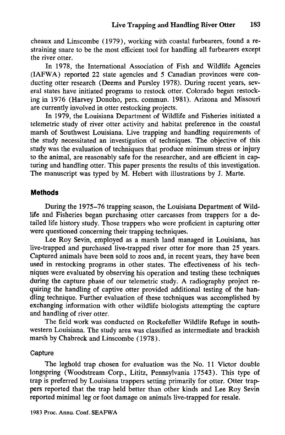cheaux and Linscombe (1979), working with coastal furbearers, found a restraining snare to be the most efficient tool for handling all furbearers except the river otter.

In 1978, the International Association of Fish and Wildlife Agencies (IAFWA) reported 22 state agencies and 5 Canadian provinces were conducting otter research (Deems and Pursley 1978). During recent years, several states have initiated programs to restock otter. Colorado began restocking in 1976 (Harvey Donoho, pers. commun. 1981). Arizona and Missouri are currently involved in otter restocking projects.

In 1979, the Louisiana Department of Wildlife and Fisheries initiated a telemetric study of river otter activity and habitat preference in the coastal marsh of Southwest Louisiana. Live trapping and handling requirements of the study necessitated an investigation of techniques. The objective of this study was the evaluation of techniques that produce minimum stress or injury to the animal, are reasonably safe for the researcher, and are efficient in capturing and handling otter. This paper presents the results of this investigation. The manuscript was typed by M. Hebert with illustrations by J. Marte.

#### **Methods**

During the 1975-76 trapping season, the Louisiana Department of Wildlife and Fisheries began purchasing otter carcasses from trappers for a detailed life history study. Those trappers who were proficient in capturing otter were questioned concerning their trapping techniques.

Lee Roy Sevin, employed as a marsh land managed in Louisiana, has live-trapped and purchased live-trapped river otter for more than 25 years. Captured animals have been sold to zoos and, in recent years, they have been used in restocking programs in other states. The effectiveness of his techniques were evaluated by observing his operation and testing these techniques during the capture phase of our telemetric study. A radiography project requiring the handling of captive otter provided additional testing of the handling technique. Further evaluation of these techniques was accomplished by exchanging information with other wildlife biologists attempting the capture and handling of river otter.

The field work was conducted on Rockefeller Wildlife Refuge in southwestern Louisiana. The study area was classified as intermediate and brackish marsh by Chabreck and Linscombe (1978).

#### Capture

The leghold trap chosen for evaluation was the No. 11 Victor double longspring (Woodstream Corp., Lititz, Pennsylvania 17543). This type of trap is preferred by Louisiana trappers setting primarily for otter. Otter trappers reported that the trap held better than other kinds and Lee Roy Sevin reported minimal leg or foot damage on animals live-trapped for resale.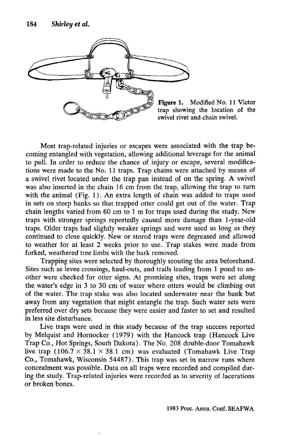

Figure 1. Modified No. 11 Victor trap showing the location of the swivel rivet and chain swivel.

Most trap-related injuries or escapes were associated with the trap becoming entangled with vegetation, allowing additional leverage for the animal to pull. In order to reduce the chance of injury or escape, several modifications were made to the No. 11 traps. Trap chains were attached by means of a swivel rivet located under the trap pan instead of on the spring. A swivel was also inserted in the chain 16 cm from the trap, allowing the trap to tum with the animal (Fig. 1). An extra length of chain was added to traps used in sets on steep banks so that trapped otter could get out of the water. Trap chain lengths varied from 60 cm to 1 m for traps used during the study. New traps with stronger springs reportedly caused more damage than l-year-old traps. Older traps had slightly weaker springs and were used as long as they continued to close quickly. New or stored traps were degreased and allowed to weather for at least 2 weeks prior to use. Trap stakes were made from forked, weathered tree limbs with the bark removed.

Trapping sites were selected by thoroughly scouting the area beforehand. Sites such as levee crossings, haul-outs, and trails leading from 1 pond to another were checked for otter signs. At promising sites, traps were set along the water's edge in 3 to 30 cm of water where otters would be climbing out of the water. The trap stake was also located underwater near the bank but away from any vegetation that might entangle the trap. Such water sets were preferred over dry sets because they were easier and faster to set and resulted in less site disturbance.

Live traps were used in this study because of the trap success reported by Melquist and Homocker (1979) with the Hancock trap (Hancock Live Trap Co., Hot Springs, South Dakota). The No. 208 double-door Tomahawk live trap  $(106.7 \times 38.1 \times 38.1 \text{ cm})$  was evaluated (Tomahawk Live Trap Co., Tomahawk, Wisconsin 54487). This trap was set in narrow runs where concealment was possible. Data on all traps were recorded and compiled during the study. Trap-related injuries were recorded as to severity of lacerations or broken bones.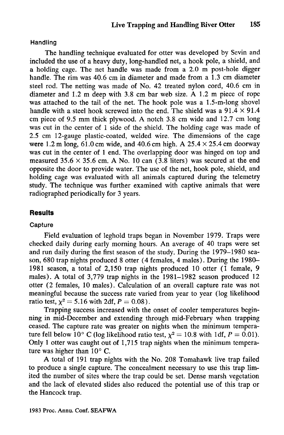Handling

The handling technique evaluated for otter was developed by Sevin and included the use of a heavy duty, long-handled net, a hook pole, a shield, and a holding cage. The net handle was made from a 2.0 m post-hole digger handle. The rim was 40.6 cm in diameter and made from a 1.3 em diameter steel rod. The netting was made of No. 42 treated nylon cord, 40.6 cm in diameter and 1.2 m deep with 3.8 em bar web size. A 1.2 m piece of rope was attached to the tail of the net. The hook pole was a 1.5-m-Iong shovel handle with a steel hook screwed into the end. The shield was a  $91.4 \times 91.4$ em piece of 9.5 mm thick plywood. A notch 3.8 cm wide and 12.7 em long was cut in the center of 1 side of the shield. The holding cage was made of 2.5 cm 12-gauge plastic-coated, welded wire. The dimensions of the cage were 1.2 m long, 61.0 cm wide, and 40.6 cm high. A  $25.4 \times 25.4$  cm doorway was cut in the center of 1 end. The overlapping door was hinged on top and measured  $35.6 \times 35.6$  cm. A No. 10 can (3.8 liters) was secured at the end opposite the door to provide water. The use of the net, hook pole, shield, and holding cage was evaluated with all animals captured during the telemetry study. The technique was further examined with captive animals that were radiographed periodically for 3 years.

## **Results**

### Capture

Field evaluation of leghold traps began in November 1979. Traps were checked daily during early morning hours. An average of 40 traps were set and run daily during the first season of the study. During the 1979-1980 season, 680 trap nights produced 8 otter (4 females, 4 males). During the 1980- 1981 season, a total of 2,150 trap nights produced 10 otter (l female, 9 males). A total of 3,779 trap nights in the 1981-1982 season produced 12 otter (2 females, 10 males). Calculation of an overall capture rate was not meaningful because the success rate varied from year to year (log likelihood ratio test,  $\chi^2 = 5.16$  with 2df,  $P = 0.08$ ).

Trapping success increased with the onset of cooler temperatures beginning in mid-December and extending through mid-February when trapping ceased. The capture rate was greater on nights when the minimum temperature fell below 10° C (log likelihood ratio test,  $\chi^2 = 10.8$  with 1df,  $P = 0.01$ ). Only 1 otter was caught out of 1,715 trap nights when the minimum temperature was higher than  $10^{\circ}$  C.

A total of 191 trap nights with the No. 208 Tomahawk live trap failed to produce a single capture. The concealment necessary to use this trap limited the number of sites where the trap could be set. Dense marsh vegetation and the lack of elevated slides also reduced the potential use of this trap or the Hancock trap.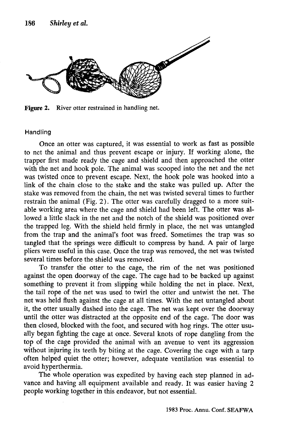

Figure 2. River otter restrained in handling net.

#### Handling

Once an otter was captured, it was essential to work as fast as possible to net the animal and thus prevent escape or injury. If working alone, the trapper first made ready the cage and shield and then approached the otter with the net and hook pole. The animal was scooped into the net and the net was twisted once to prevent escape. Next, the hook pole was hooked into a link of the chain close to the stake and the stake was pulled up. After the stake was removed from the chain, the net was twisted several times to further restrain the animal (Fig. 2). The otter was carefully dragged to a more suitable working area where the cage and shield had been left. The otter was allowed a little slack in the net and the notch of the shield was positioned over the trapped leg. With the shield held firmly in place, the net was untangled from the trap and the animal's foot was freed. Sometimes the trap was so tangled that the springs were difficult to compress by hand. A pair of large pliers were useful in this case. Once the trap was removed, the net was twisted several times before the shield was removed.

To transfer the otter to the cage, the rim of the net was positioned against the open doorway of the cage. The cage had to be backed up against something to prevent it from slipping while holding the net in place. Next, the tail rope of the net was used to twirl the otter and untwist the net. The net was held flush against the cage at all times. With the net untangled about it, the otter usually dashed into the cage. The net was kept over the doorway until the otter was distracted at the opposite end of the cage. The door was then closed, blocked with the foot, and secured with hog rings. The otter usually began fighting the cage at once. Several knots of rope dangling from the top of the cage provided the animal with an avenue to vent its aggression without injuring its teeth by biting at the cage. Covering the cage with a tarp often helped quiet the otter; however, adequate ventilation was essential to avoid hyperthermia.

The whole operation was expedited by having each step planned in advance and having all equipment available and ready. It was easier having 2 people working together in this endeavor, but not essential.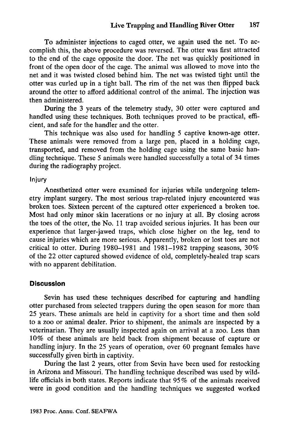To administer injections to caged otter, we again used the net. To accomplish this, the above procedure was reversed. The otter was first attracted to the end of the cage opposite the door. The net was quickly positioned in front of the open door of the cage. The animal was allowed to move into the net and it was twisted closed behind him. The net was twisted tight until the otter was curled up in a tight ball. The rim of the net was then flipped back around the otter to afford additional control of the animal. The injection was then administered.

During the 3 years of the telemetry study, 30 otter were captured and handled using these techniques. Both techniques proved to be practical, efficient, and safe for the handler and the otter.

This technique was also used for handling 5 captive known-age otter. These animals were removed from a large pen, placed in a holding cage, transported, and removed from the holding cage using the same basic handling technique. These 5 animals were handled successfully a total of 34 times during the radiography project.

#### Injury

Anesthetized otter were examined for injuries while undergoing telemetry implant surgery. The most serious trap-related injury encountered was broken toes. Sixteen percent of the captured otter experienced a broken toe. Most had only minor skin lacerations or no injury at all. By closing across the toes of the otter, the No. 11 trap avoided serious injuries. It has been our experience that larger-jawed traps, which close higher on the leg, tend to cause injuries which are more serious. Apparently, broken or lost toes are not critical to otter. During 1980–1981 and 1981–1982 trapping seasons,  $30\%$ of the 22 otter captured showed evidence of old, completely-healed trap scars with no apparent debilitation.

### **Discussion**

Sevin has used these techniques described for capturing and handling otter purchased from selected trappers during the open season for more than 25 years. These animals are held in captivity for a short time and then sold to a zoo or animal dealer. Prior to shipment, the animals are inspected by a veterinarian. They are usually inspected again on arrival at a zoo. Less than 10% of these animals are held back from shipment because of capture or handling injury. In the 25 years of operation, over 60 pregnant females have successfully given birth in captivity.

During the last 2 years, otter from Sevin have been used for restocking in Arizona and Missouri. The handling technique described was used by wildlife officials in both states. Reports indicate that 95 % of the animals received were in good condition and the handling techniques we suggested worked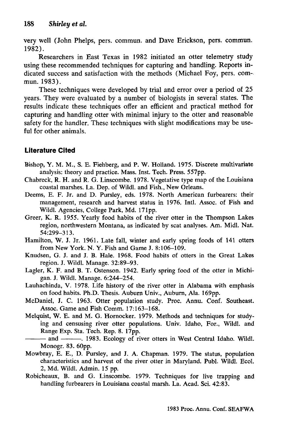very well (John Phelps, pers. commun. and Dave Erickson, pers. commun. 1982).

Researchers in East Texas in 1982 initiated an otter telemetry study using these recommended techniques for capturing and handling. Reports indicated success and satisfaction with the methods (Michael Foy, pers. commun.1983).

These techniques were developed by trial and error over a period of 25 years. They were evaluated by a number of biologists in several states. The results indicate these techniques offer an efficient and practical method for capturing and handling otter with minimal injury to the otter and reasonable safety for the handler. These techniques with slight modifications may be useful for other animals.

# **Literature Cited**

- Bishop, Y. M. M., S. E. Fiehberg, and P. W. Holland. 1975. Discrete multivariate analysis: theory and practice. Mass. Inst. Tech. Press. 557pp.
- Chabreck, R. H. and R. G. Linscombe. 1978. Vegetative type map of the Louisiana coastal marshes. La. Dep. of Wildl. and Fish., New Orleans.
- Deems, E. F. Jr. and D. Pursley, eds. 1978. North American furbearers: their management, research and harvest status in 1976. IntI. Assoc. of Fish and WildI. Agencies, College Park, Md. 171pp.
- Greer, K. R. 1955. Yearly food habits of the river otter in the Thompson Lakes region, northwestern Montana, as indicated by scat analyses. Am. MidI. Nat. 54:299-313.
- Hamilton, W. J. Jr. 1961. Late fall, winter and early spring foods of 141 otters from New York. N. Y. Fish and Game J. 8:106-109.
- Knudsen, G. J. and J. B. Hale. 1968. Food habits of otters in the Great Lakes region. J. Wildl. Manage. 32:89-93.
- Lagler, K. F. and B. T. Ostenson. 1942. Early spring food of the otter in Michigan. J; Wildl. Manage. 6:244-254.
- Lauhachinda, V. 1978. Life history of the river otter in Alabama with emphasis on food habits. Ph.D. Thesis. Auburn Univ., Auburn, Ala. 169pp.
- McDaniel, J. C. 1963. Otter population study. Proc. Annu. Conf. Southeast. Assoc. Game and Fish Comm. 17:163-168.
- Melquist, W. E. and M. G. Hornocker. 1979. Methods and techniques for studying and censusing river otter populations. Univ. Idaho, For., Wildl. and Range Exp. Sta. Tech. Rep. 8. 17pp.
- ----------------. 1983. Ecology of river otters in West Central Idaho. Wildl. Monogr. 83. 60pp.
- Mowbray, E. E., D. Pursley, and J. A. Chapman. 1979. The status, population characteristics and harvest of the river otter in Maryland. Publ. WildI. Ecol. 2, Md. WildI. Admin. 15 pp.
- Robicheaux, B. and G. Linscombe. 1979. Techniques for live trapping and handling furbearers in Louisiana coastal marsh. La. Acad. Sci. 42:83.